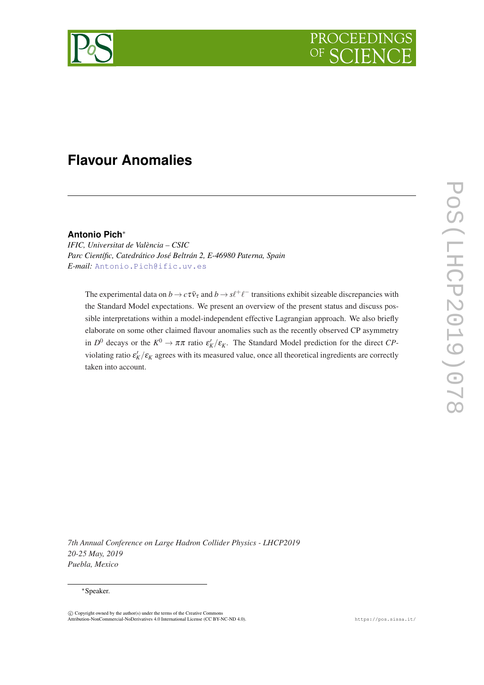

# **Flavour Anomalies**

## **Antonio Pich**<sup>∗</sup>

*IFIC, Universitat de València – CSIC Parc Científic, Catedrático José Beltrán 2, E-46980 Paterna, Spain E-mail:* [Antonio.Pich@ific.uv.es](mailto:Antonio.Pich@ific.uv.es)

The experimental data on  $b \to c\tau\bar{\nu}_{\tau}$  and  $b \to s\ell^+\ell^-$  transitions exhibit sizeable discrepancies with the Standard Model expectations. We present an overview of the present status and discuss possible interpretations within a model-independent effective Lagrangian approach. We also briefly elaborate on some other claimed flavour anomalies such as the recently observed CP asymmetry in  $D^0$  decays or the  $K^0 \to \pi \pi$  ratio  $\varepsilon'_K/\varepsilon_K$ . The Standard Model prediction for the direct *CP*violating ratio  $\varepsilon'_K/\varepsilon_K$  agrees with its measured value, once all theoretical ingredients are correctly taken into account.

*7th Annual Conference on Large Hadron Collider Physics - LHCP2019 20-25 May, 2019 Puebla, Mexico*

#### <sup>∗</sup>Speaker.

 $\overline{c}$  Copyright owned by the author(s) under the terms of the Creative Commons Attribution-NonCommercial-NoDerivatives 4.0 International License (CC BY-NC-ND 4.0). https://pos.sissa.it/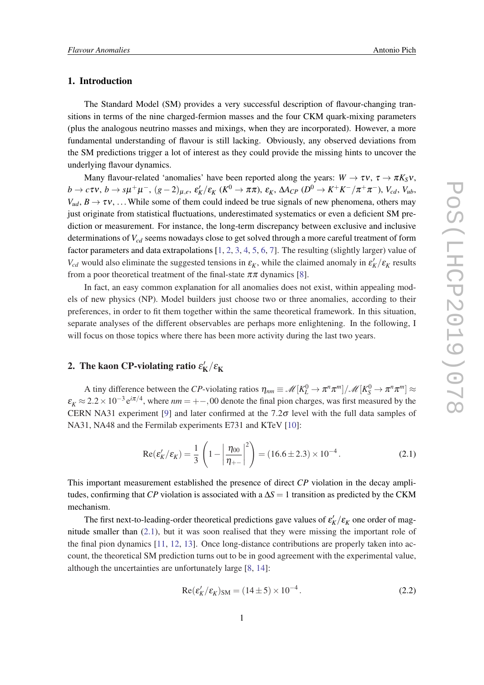#### 1. Introduction

The Standard Model (SM) provides a very successful description of flavour-changing transitions in terms of the nine charged-fermion masses and the four CKM quark-mixing parameters (plus the analogous neutrino masses and mixings, when they are incorporated). However, a more fundamental understanding of flavour is still lacking. Obviously, any observed deviations from the SM predictions trigger a lot of interest as they could provide the missing hints to uncover the underlying flavour dynamics.

Many flavour-related 'anomalies' have been reported along the years:  $W \to \tau v$ ,  $\tau \to \pi K_S v$ ,  $b\to c\tau \nu, \, b\to s\mu^+\mu^-, \, (g-2)_{\mu,e}, \, \epsilon_K'/\epsilon_K \, (K^0\to\pi\pi), \, \epsilon_K, \, \Delta A_{CP} \, (D^0\to K^+K^-/\pi^+\pi^-), \, V_{cd}, \, V_{ub},$  $V_{ud}$ ,  $B \to \tau v$ , ... While some of them could indeed be true signals of new phenomena, others may just originate from statistical fluctuations, underestimated systematics or even a deficient SM prediction or measurement. For instance, the long-term discrepancy between exclusive and inclusive determinations of *Vcd* seems nowadays close to get solved through a more careful treatment of form factor parameters and data extrapolations [[1](#page-7-0), [2](#page-7-0), [3,](#page-7-0) [4](#page-7-0), [5,](#page-7-0) [6,](#page-8-0) [7](#page-8-0)]. The resulting (slightly larger) value of *V<sub>cd</sub>* would also eliminate the suggested tensions in  $\varepsilon_K$ , while the claimed anomaly in  $\varepsilon_K'/\varepsilon_K$  results from a poor theoretical treatment of the final-state  $\pi\pi$  dynamics [[8\]](#page-8-0).

In fact, an easy common explanation for all anomalies does not exist, within appealing models of new physics (NP). Model builders just choose two or three anomalies, according to their preferences, in order to fit them together within the same theoretical framework. In this situation, separate analyses of the different observables are perhaps more enlightening. In the following, I will focus on those topics where there has been more activity during the last two years.

#### 2. The kaon CP-violating ratio  $\varepsilon_\mathrm{I}'$  $\kappa_{\rm K}^{\prime}/\varepsilon_{\rm K}^{\phantom{\prime}}$

A tiny difference between the *CP*-violating ratios  $\eta_{nm} \equiv \mathcal{M}[K_L^0 \to \pi^n \pi^m]/\mathcal{M}[K_S^0 \to \pi^n \pi^m] \approx$  $\varepsilon_K \approx 2.2 \times 10^{-3} e^{i\pi/4}$ , where  $nm = +-,00$  denote the final pion charges, was first measured by the CERN NA31 experiment [\[9\]](#page-8-0) and later confirmed at the  $7.2\sigma$  level with the full data samples of NA31, NA48 and the Fermilab experiments E731 and KTeV [[10\]](#page-8-0):

$$
Re(\varepsilon_K'/\varepsilon_K) = \frac{1}{3} \left( 1 - \left| \frac{\eta_{00}}{\eta_{+-}} \right|^2 \right) = (16.6 \pm 2.3) \times 10^{-4}.
$$
 (2.1)

This important measurement established the presence of direct *CP* violation in the decay amplitudes, confirming that *CP* violation is associated with a  $\Delta S = 1$  transition as predicted by the CKM mechanism.

The first next-to-leading-order theoretical predictions gave values of  $\varepsilon_K'/\varepsilon_K$  one order of magnitude smaller than  $(2.1)$ , but it was soon realised that they were missing the important role of the final pion dynamics [[11,](#page-8-0) [12](#page-8-0), [13](#page-8-0)]. Once long-distance contributions are properly taken into account, the theoretical SM prediction turns out to be in good agreement with the experimental value, although the uncertainties are unfortunately large [\[8,](#page-8-0) [14](#page-8-0)]:

$$
Re(\varepsilon_K'/\varepsilon_K')_{SM} = (14 \pm 5) \times 10^{-4}.
$$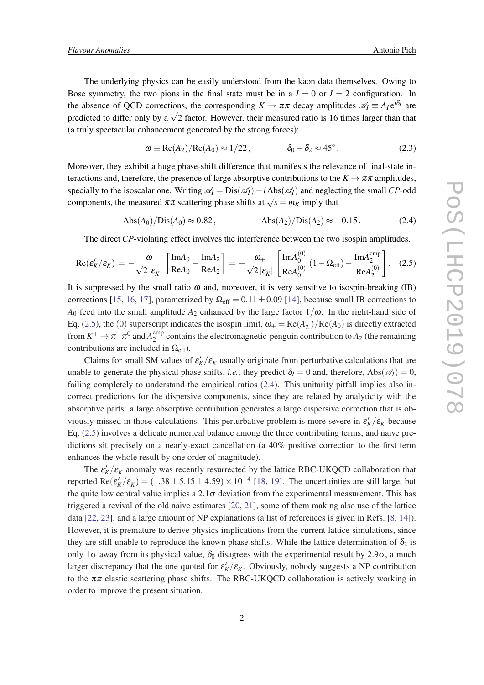The underlying physics can be easily understood from the kaon data themselves. Owing to Bose symmetry, the two pions in the final state must be in a  $I = 0$  or  $I = 2$  configuration. In the absence of QCD corrections, the corresponding  $K \to \pi \pi$  decay amplitudes  $\mathscr{A}_I \equiv A_I e^{i\delta_I}$  are predicted to differ only by a  $\sqrt{2}$  factor. However, their measured ratio is 16 times larger than that (a truly spectacular enhancement generated by the strong forces):

$$
\omega \equiv \text{Re}(A_2)/\text{Re}(A_0) \approx 1/22, \qquad \delta_0 - \delta_2 \approx 45^\circ. \tag{2.3}
$$

Moreover, they exhibit a huge phase-shift difference that manifests the relevance of final-state interactions and, therefore, the presence of large absorptive contributions to the  $K \to \pi \pi$  amplitudes, specially to the isoscalar one. Writing  $\mathscr{A}_I = \text{Dis}(\mathscr{A}_I) + i \text{Abs}(\mathscr{A}_I)$  and neglecting the small *CP*-odd components, the measured  $\pi \pi$  scattering phase shifts at  $\sqrt{s} = m_K$  imply that

$$
Abs(A_0)/Dis(A_0) \approx 0.82, \qquad \qquad Abs(A_2)/Dis(A_2) \approx -0.15. \tag{2.4}
$$

The direct *CP*-violating effect involves the interference between the two isospin amplitudes,

$$
\operatorname{Re}(\varepsilon'_{K}/\varepsilon_{K}) = -\frac{\omega}{\sqrt{2}|\varepsilon_{K}|} \left[ \frac{\operatorname{Im} A_{0}}{\operatorname{Re} A_{0}} - \frac{\operatorname{Im} A_{2}}{\operatorname{Re} A_{2}} \right] = -\frac{\omega_{+}}{\sqrt{2}|\varepsilon_{K}|} \left[ \frac{\operatorname{Im} A_{0}^{(0)}}{\operatorname{Re} A_{0}^{(0)}} \left( 1 - \Omega_{\text{eff}} \right) - \frac{\operatorname{Im} A_{2}^{\text{emp}}}{\operatorname{Re} A_{2}^{(0)}} \right]. \tag{2.5}
$$

It is suppressed by the small ratio  $\omega$  and, moreover, it is very sensitive to isospin-breaking (IB) corrections [\[15](#page-8-0), [16,](#page-8-0) [17](#page-8-0)], parametrized by  $\Omega_{\text{eff}} = 0.11 \pm 0.09$  [[14\]](#page-8-0), because small IB corrections to *A*<sub>0</sub> feed into the small amplitude  $A_2$  enhanced by the large factor  $1/\omega$ . In the right-hand side of Eq. (2.5), the (0) superscript indicates the isospin limit,  $\omega_+ = \text{Re}(A_2^+)/\text{Re}(A_0)$  is directly extracted from  $K^+ \to \pi^+ \pi^0$  and  $A_2^{\text{emp}}$  $2^{emp}$  contains the electromagnetic-penguin contribution to  $A_2$  (the remaining contributions are included in  $\Omega_{\text{eff}}$ ).

Claims for small SM values of  $\varepsilon_K'/\varepsilon_K$  usually originate from perturbative calculations that are unable to generate the physical phase shifts, *i.e.*, they predict  $\delta_l = 0$  and, therefore, Abs( $\mathscr{A}_l$ ) = 0, failing completely to understand the empirical ratios (2.4). This unitarity pitfall implies also incorrect predictions for the dispersive components, since they are related by analyticity with the absorptive parts: a large absorptive contribution generates a large dispersive correction that is obviously missed in those calculations. This perturbative problem is more severe in  $\varepsilon_K'/\varepsilon_K$  because Eq. (2.5) involves a delicate numerical balance among the three contributing terms, and naive predictions sit precisely on a nearly-exact cancellation (a 40% positive correction to the first term enhances the whole result by one order of magnitude).

The  $\varepsilon_K'/\varepsilon_K$  anomaly was recently resurrected by the lattice RBC-UKQCD collaboration that reported  $\text{Re}(\varepsilon_K'/\varepsilon_K) = (1.38 \pm 5.15 \pm 4.59) \times 10^{-4}$  [[18,](#page-8-0) [19\]](#page-8-0). The uncertainties are still large, but the quite low central value implies a  $2.1\sigma$  deviation from the experimental measurement. This has triggered a revival of the old naive estimates [\[20,](#page-8-0) [21\]](#page-8-0), some of them making also use of the lattice data [[22,](#page-8-0) [23](#page-8-0)], and a large amount of NP explanations (a list of references is given in Refs. [\[8,](#page-8-0) [14\]](#page-8-0)). However, it is premature to derive physics implications from the current lattice simulations, since they are still unable to reproduce the known phase shifts. While the lattice determination of  $\delta_2$  is only 1 $\sigma$  away from its physical value,  $\delta_0$  disagrees with the experimental result by 2.9 $\sigma$ , a much larger discrepancy that the one quoted for  $\varepsilon_K'/\varepsilon_K$ . Obviously, nobody suggests a NP contribution to the  $\pi\pi$  elastic scattering phase shifts. The RBC-UKQCD collaboration is actively working in order to improve the present situation.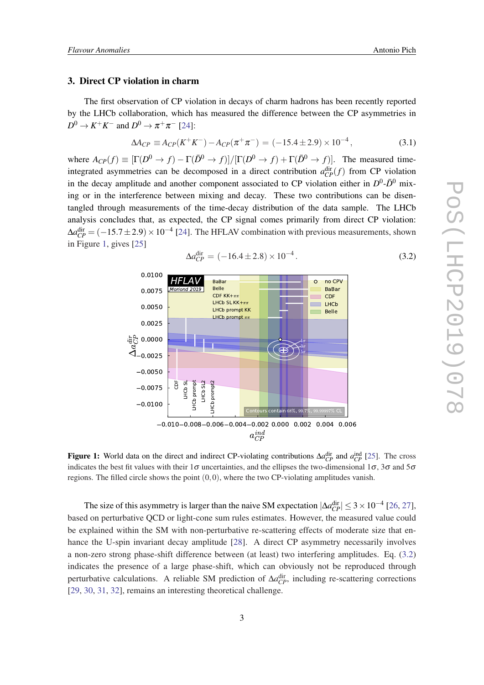#### 3. Direct CP violation in charm

The first observation of CP violation in decays of charm hadrons has been recently reported by the LHCb collaboration, which has measured the difference between the CP asymmetries in  $D^0 \to K^+K^-$  and  $D^0 \to \pi^+\pi^-$  [\[24](#page-8-0)]:

$$
\Delta A_{CP} \equiv A_{CP}(K^+K^-) - A_{CP}(\pi^+\pi^-) = (-15.4 \pm 2.9) \times 10^{-4}, \tag{3.1}
$$

where  $A_{CP}(f) \equiv [\Gamma(D^0 \to f) - \Gamma(\bar{D}^0 \to f)]/[\Gamma(D^0 \to f) + \Gamma(\bar{D}^0 \to f)]$ . The measured timeintegrated asymmetries can be decomposed in a direct contribution  $a_{CP}^{\text{dir}}(f)$  from CP violation in the decay amplitude and another component associated to CP violation either in  $D^0$ - $\bar{D}^0$  mixing or in the interference between mixing and decay. These two contributions can be disentangled through measurements of the time-decay distribution of the data sample. The LHCb analysis concludes that, as expected, the CP signal comes primarily from direct CP violation:  $\Delta a_{CP}^{\text{dir}} = (-15.7 \pm 2.9) \times 10^{-4}$  [\[24](#page-8-0)]. The HFLAV combination with previous measurements, shown in Figure 1, gives [[25\]](#page-8-0)



$$
\Delta a_{CP}^{\text{dir}} = (-16.4 \pm 2.8) \times 10^{-4}.
$$
\n(3.2)

**Figure 1:** World data on the direct and indirect CP-violating contributions  $\Delta a_{CP}^{\text{dir}}$  and  $a_{CP}^{\text{ind}}$  [\[25](#page-8-0)]. The cross indicates the best fit values with their  $1\sigma$  uncertainties, and the ellipses the two-dimensional  $1\sigma$ ,  $3\sigma$  and  $5\sigma$ regions. The filled circle shows the point  $(0,0)$ , where the two CP-violating amplitudes vanish.

The size of this asymmetry is larger than the naive SM expectation  $|\Delta a_{CP}^{\text{dir}}| \leq 3 \times 10^{-4}$  [[26,](#page-8-0) [27\]](#page-9-0), based on perturbative QCD or light-cone sum rules estimates. However, the measured value could be explained within the SM with non-perturbative re-scattering effects of moderate size that enhance the U-spin invariant decay amplitude [\[28](#page-9-0)]. A direct CP asymmetry necessarily involves a non-zero strong phase-shift difference between (at least) two interfering amplitudes. Eq. (3.2) indicates the presence of a large phase-shift, which can obviously not be reproduced through perturbative calculations. A reliable SM prediction of  $\Delta a_{CP}^{\text{dir}}$ , including re-scattering corrections [[29,](#page-9-0) [30](#page-9-0), [31,](#page-9-0) [32\]](#page-9-0), remains an interesting theoretical challenge.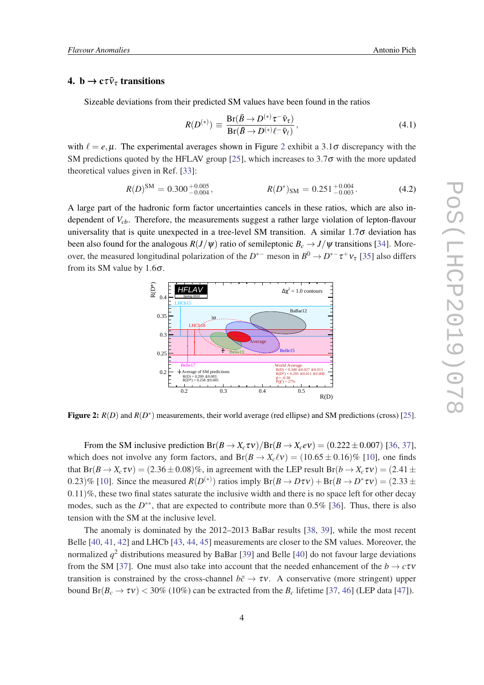### 4. b  $\rightarrow$  c $\bar{\nu}_{\tau}$  transitions

Sizeable deviations from their predicted SM values have been found in the ratios

$$
R(D^{(*)}) \equiv \frac{\text{Br}(\bar{B} \to D^{(*)}\tau^- \bar{\nu}_\tau)}{\text{Br}(\bar{B} \to D^{(*)}\ell^- \bar{\nu}_\ell)},
$$
(4.1)

with  $\ell = e, \mu$ . The experimental averages shown in Figure 2 exhibit a 3.1 $\sigma$  discrepancy with the SM predictions quoted by the HFLAV group [\[25](#page-8-0)], which increases to  $3.7\sigma$  with the more updated theoretical values given in Ref. [\[33\]](#page-9-0):

$$
R(D)^{\text{SM}} = 0.300^{+0.005}_{-0.004}, \qquad R(D^*)_{\text{SM}} = 0.251^{+0.004}_{-0.003}.
$$
 (4.2)

A large part of the hadronic form factor uncertainties cancels in these ratios, which are also independent of *Vcb*. Therefore, the measurements suggest a rather large violation of lepton-flavour universality that is quite unexpected in a tree-level SM transition. A similar  $1.7\sigma$  deviation has been also found for the analogous  $R(J/\psi)$  ratio of semileptonic  $B_c \rightarrow J/\psi$  transitions [\[34\]](#page-9-0). Moreover, the measured longitudinal polarization of the  $D^{*-}$  meson in  $B^0 \to D^{*-} \tau^+ \nu_{\tau}$  [[35\]](#page-9-0) also differs from its SM value by 1.6 $\sigma$ .



Figure 2:  $R(D)$  and  $R(D^*)$  measurements, their world average (red ellipse) and SM predictions (cross) [\[25](#page-8-0)].

From the SM inclusive prediction  $Br(B \to X_c \tau \nu)/Br(B \to X_c e \nu) = (0.222 \pm 0.007)$  [\[36](#page-9-0), [37\]](#page-9-0), which does not involve any form factors, and  $Br(B \to X_c \ell v) = (10.65 \pm 0.16)\%$  [\[10](#page-8-0)], one finds that  $Br(B \to X_c \tau v) = (2.36 \pm 0.08)\%$ , in agreement with the LEP result  $Br(b \to X_c \tau v) = (2.41 \pm 0.08)\%$ 0.23)% [[10\]](#page-8-0). Since the measured  $R(D^{(*)})$  ratios imply  $Br(B \to D\tau v) + Br(B \to D^* \tau v) = (2.33 \pm 1.00)$ 0.11)%, these two final states saturate the inclusive width and there is no space left for other decay modes, such as the *D*<sup>\*\*</sup>, that are expected to contribute more than 0.5% [\[36](#page-9-0)]. Thus, there is also tension with the SM at the inclusive level.

The anomaly is dominated by the 2012–2013 BaBar results [\[38](#page-9-0), [39](#page-9-0)], while the most recent Belle [[40](#page-9-0), [41,](#page-9-0) [42\]](#page-9-0) and LHCb [[43](#page-9-0), [44,](#page-9-0) [45\]](#page-9-0) measurements are closer to the SM values. Moreover, the normalized *q* <sup>2</sup> distributions measured by BaBar [\[39](#page-9-0)] and Belle [[40\]](#page-9-0) do not favour large deviations from the SM [[37\]](#page-9-0). One must also take into account that the needed enhancement of the  $b \rightarrow c\tau v$ transition is constrained by the cross-channel  $b\bar{c} \rightarrow \tau v$ . A conservative (more stringent) upper bound  $Br(B_c \to \tau v)$  < 30% (10%) can be extracted from the  $B_c$  lifetime [[37,](#page-9-0) [46\]](#page-9-0) (LEP data [[47](#page-10-0)]).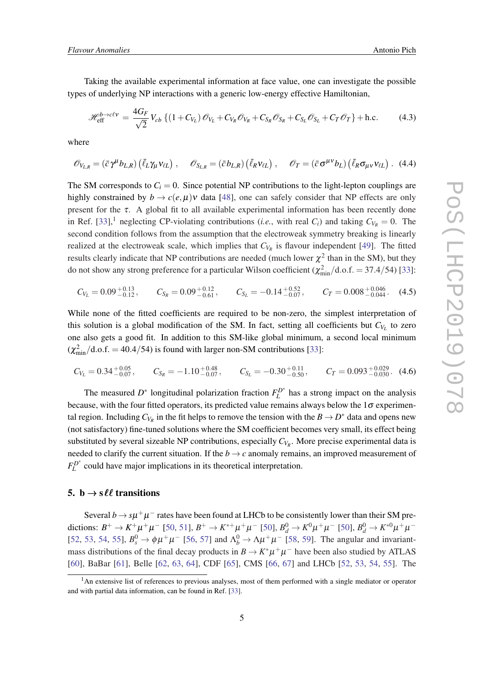Taking the available experimental information at face value, one can investigate the possible types of underlying NP interactions with a generic low-energy effective Hamiltonian,

$$
\mathcal{H}_{\text{eff}}^{b \to c\ell v} = \frac{4G_F}{\sqrt{2}} V_{cb} \left\{ \left( 1 + C_{V_L} \right) \mathcal{O}_{V_L} + C_{V_R} \mathcal{O}_{V_R} + C_{S_R} \mathcal{O}_{S_R} + C_{S_L} \mathcal{O}_{S_L} + C_T \mathcal{O}_T \right\} + \text{h.c.}
$$
 (4.3)

where

$$
\mathscr{O}_{V_{L,R}} = (\bar{c}\gamma^{\mu}b_{L,R}) (\bar{\ell}_L \gamma_{\mu} v_{\ell L}), \quad \mathscr{O}_{S_{L,R}} = (\bar{c}b_{L,R}) (\bar{\ell}_R v_{\ell L}), \quad \mathscr{O}_T = (\bar{c}\sigma^{\mu\nu}b_L) (\bar{\ell}_R \sigma_{\mu\nu} v_{\ell L}).
$$
 (4.4)

The SM corresponds to  $C_i = 0$ . Since potential NP contributions to the light-lepton couplings are highly constrained by  $b \to c(e, \mu)v$  data [[48\]](#page-10-0), one can safely consider that NP effects are only present for the  $\tau$ . A global fit to all available experimental information has been recently done in Ref. [\[33](#page-9-0)],<sup>1</sup> neglecting CP-violating contributions (*i.e.*, with real  $C_i$ ) and taking  $C_{V_R} = 0$ . The second condition follows from the assumption that the electroweak symmetry breaking is linearly realized at the electroweak scale, which implies that  $C_{V_R}$  is flavour independent [\[49](#page-10-0)]. The fitted results clearly indicate that NP contributions are needed (much lower  $\chi^2$  than in the SM), but they do not show any strong preference for a particular Wilson coefficient ( $\chi^2_{\rm min}/\rm{d.o.f.} = 37.4/54$ ) [\[33](#page-9-0)]:

$$
C_{V_L} = 0.09_{-0.12}^{+0.13}, \t C_{S_R} = 0.09_{-0.61}^{+0.12}, \t C_{S_L} = -0.14_{-0.07}^{+0.52}, \t C_T = 0.008_{-0.044}^{+0.046}.
$$
 (4.5)

While none of the fitted coefficients are required to be non-zero, the simplest interpretation of this solution is a global modification of the SM. In fact, setting all coefficients but  $C_{V_L}$  to zero one also gets a good fit. In addition to this SM-like global minimum, a second local minimum  $(\chi^2_{\text{min}}/d.o.f. = 40.4/54)$  is found with larger non-SM contributions [\[33](#page-9-0)]:

$$
C_{V_L} = 0.34^{+0.05}_{-0.07}, \t C_{S_R} = -1.10^{+0.48}_{-0.07}, \t C_{S_L} = -0.30^{+0.11}_{-0.50}, \t C_T = 0.093^{+0.029}_{-0.030}. (4.6)
$$

The measured  $D^*$  longitudinal polarization fraction  $F_L^{D^*}$  $L^{D^*}$  has a strong impact on the analysis because, with the four fitted operators, its predicted value remains always below the  $1\sigma$  experimental region. Including  $C_{V_R}$  in the fit helps to remove the tension with the  $B \to D^*$  data and opens new (not satisfactory) fine-tuned solutions where the SM coefficient becomes very small, its effect being substituted by several sizeable NP contributions, especially *CV<sup>R</sup>* . More precise experimental data is needed to clarify the current situation. If the  $b \rightarrow c$  anomaly remains, an improved measurement of  $F_L^{D^*}$  $L<sup>D<sub>L</sub></sup>$  could have major implications in its theoretical interpretation.

#### 5. b  $\rightarrow$  s  $\ell\ell$  transitions

Several  $b \to s\mu^+\mu^-$  rates have been found at LHCb to be consistently lower than their SM predictions:  $B^+ \to K^+ \mu^+ \mu^-$  [[50,](#page-10-0) [51](#page-10-0)],  $B^+ \to K^{*+} \mu^+ \mu^-$  [[50\]](#page-10-0),  $B_d^0 \to K^0 \mu^+ \mu^-$  [\[50](#page-10-0)],  $B_d^0 \to K^{*0} \mu^+ \mu^-$ [[52,](#page-10-0) [53,](#page-10-0) [54](#page-10-0), [55](#page-10-0)],  $B_s^0 \to \phi \mu^+ \mu^-$  [\[56,](#page-10-0) [57](#page-10-0)] and  $\Lambda_b^0 \to \Lambda \mu^+ \mu^-$  [[58,](#page-10-0) [59\]](#page-10-0). The angular and invariantmass distributions of the final decay products in  $B \to K^* \mu^+ \mu^-$  have been also studied by ATLAS [[60\]](#page-10-0), BaBar [\[61](#page-10-0)], Belle [[62,](#page-10-0) [63,](#page-10-0) [64](#page-10-0)], CDF [[65\]](#page-10-0), CMS [\[66](#page-10-0), [67\]](#page-11-0) and LHCb [[52,](#page-10-0) [53,](#page-10-0) [54](#page-10-0), [55](#page-10-0)]. The

<sup>&</sup>lt;sup>1</sup>An extensive list of references to previous analyses, most of them performed with a single mediator or operator and with partial data information, can be found in Ref. [\[33](#page-9-0)].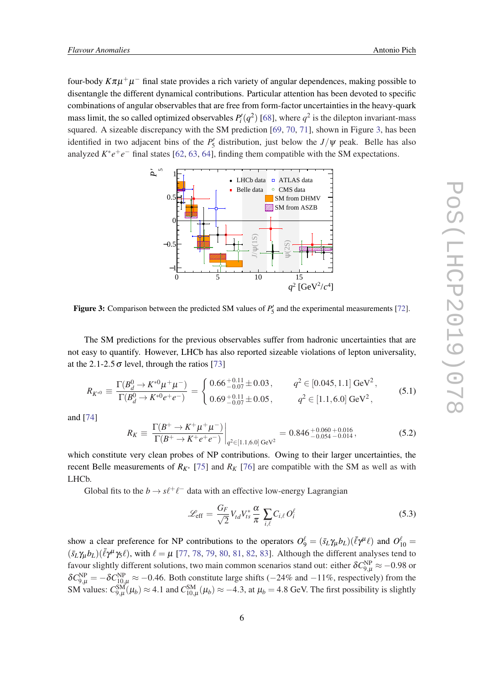four-body *K*πµ+µ <sup>−</sup> final state provides a rich variety of angular dependences, making possible to disentangle the different dynamical contributions. Particular attention has been devoted to specific combinations of angular observables that are free from form-factor uncertainties in the heavy-quark mass limit, the so called optimized observables  $P'_i(q^2)$  [\[68](#page-11-0)], where  $q^2$  is the dilepton invariant-mass squared. A sizeable discrepancy with the SM prediction [[69](#page-11-0), [70](#page-11-0), [71\]](#page-11-0), shown in Figure 3, has been identified in two adjacent bins of the  $P'_5$  distribution, just below the  $J/\psi$  peak. Belle has also analyzed  $K^*e^+e^-$  final states [[62,](#page-10-0) [63,](#page-10-0) [64](#page-10-0)], finding them compatible with the SM expectations.



Figure 3: Comparison between the predicted SM values of  $P'_5$  and the experimental measurements [\[72](#page-11-0)].

The SM predictions for the previous observables suffer from hadronic uncertainties that are not easy to quantify. However, LHCb has also reported sizeable violations of lepton universality, at the 2.1-2.5  $\sigma$  level, through the ratios [[73\]](#page-11-0)

$$
R_{K^{*0}} \equiv \frac{\Gamma(B_d^0 \to K^{*0} \mu^+ \mu^-)}{\Gamma(B_d^0 \to K^{*0} e^+ e^-)} = \begin{cases} 0.66^{+0.11}_{-0.07} \pm 0.03, & q^2 \in [0.045, 1.1] \,\text{GeV}^2, \\ 0.69^{+0.11}_{-0.07} \pm 0.05, & q^2 \in [1.1, 6.0] \,\text{GeV}^2, \end{cases}
$$
(5.1)

and [\[74](#page-11-0)]

$$
R_K \equiv \left. \frac{\Gamma(B^+ \to K^+ \mu^+ \mu^-)}{\Gamma(B^+ \to K^+ e^+ e^-)} \right|_{q^2 \in [1.1, 6.0]} \leq 0.846^{+0.060}_{-0.054}^{+0.016}, \tag{5.2}
$$

which constitute very clean probes of NP contributions. Owing to their larger uncertainties, the recent Belle measurements of  $R_{K^*}$  [\[75\]](#page-11-0) and  $R_K$  [\[76](#page-11-0)] are compatible with the SM as well as with LHCb.

Global fits to the  $b \to s\ell^+\ell^-$  data with an effective low-energy Lagrangian

$$
\mathcal{L}_{\text{eff}} = \frac{G_F}{\sqrt{2}} V_{td} V_{ts}^* \frac{\alpha}{\pi} \sum_{i,\ell} C_{i,\ell} O_i^{\ell} \tag{5.3}
$$

show a clear preference for NP contributions to the operators  $O_9^{\ell} = (\bar{s}_L \gamma_{\mu} b_L)(\bar{\ell} \gamma^{\mu} \ell)$  and  $O_{10}^{\ell} =$  $(\bar{s}_L \gamma_\mu b_L)(\bar{\ell} \gamma^\mu \gamma_5 \ell)$ , with  $\ell = \mu$  [\[77,](#page-11-0) [78,](#page-11-0) [79](#page-11-0), [80,](#page-11-0) [81](#page-11-0), [82,](#page-11-0) [83\]](#page-11-0). Although the different analyses tend to favour slightly different solutions, two main common scenarios stand out: either  $\delta C_{9,\mu}^{\rm NP}\approx-0.98$  or  $\delta C_{9,\mu}^{NP} = -\delta C_{10,\mu}^{NP} \approx -0.46$ . Both constitute large shifts (−24% and −11%, respectively) from the SM values:  $C_{9,\mu}^{SM}(\mu_b) \approx 4.1$  and  $C_{10,\mu}^{SM}(\mu_b) \approx -4.3$ , at  $\mu_b = 4.8$  GeV. The first possibility is slightly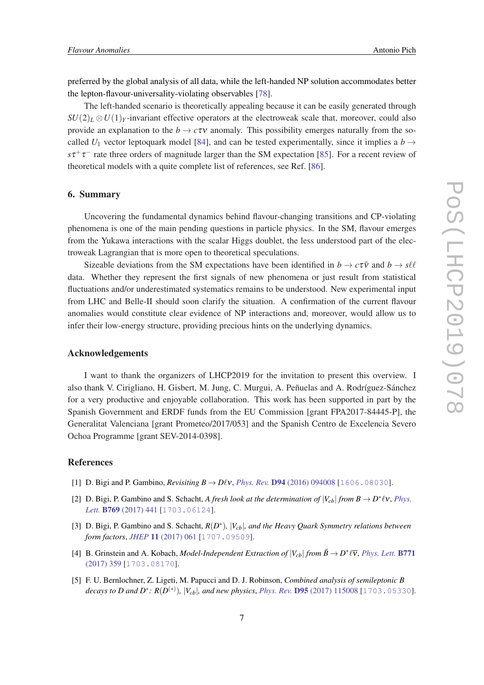<span id="page-7-0"></span>preferred by the global analysis of all data, while the left-handed NP solution accommodates better the lepton-flavour-universality-violating observables [\[78\]](#page-11-0).

The left-handed scenario is theoretically appealing because it can be easily generated through  $SU(2)_L \otimes U(1)_Y$ -invariant effective operators at the electroweak scale that, moreover, could also provide an explanation to the  $b \to c\tau v$  anomaly. This possibility emerges naturally from the socalled  $U_1$  vector leptoquark model [\[84](#page-11-0)], and can be tested experimentally, since it implies a *b*  $\rightarrow$  $s\tau^+\tau^-$  rate three orders of magnitude larger than the SM expectation [\[85](#page-11-0)]. For a recent review of theoretical models with a quite complete list of references, see Ref. [[86\]](#page-11-0).

#### 6. Summary

Uncovering the fundamental dynamics behind flavour-changing transitions and CP-violating phenomena is one of the main pending questions in particle physics. In the SM, flavour emerges from the Yukawa interactions with the scalar Higgs doublet, the less understood part of the electroweak Lagrangian that is more open to theoretical speculations.

Sizeable deviations from the SM expectations have been identified in  $b \to c\tau\bar{v}$  and  $b \to s\ell\ell$ data. Whether they represent the first signals of new phenomena or just result from statistical fluctuations and/or underestimated systematics remains to be understood. New experimental input from LHC and Belle-II should soon clarify the situation. A confirmation of the current flavour anomalies would constitute clear evidence of NP interactions and, moreover, would allow us to infer their low-energy structure, providing precious hints on the underlying dynamics.

#### Acknowledgements

I want to thank the organizers of LHCP2019 for the invitation to present this overview. I also thank V. Cirigliano, H. Gisbert, M. Jung, C. Murgui, A. Peñuelas and A. Rodríguez-Sánchez for a very productive and enjoyable collaboration. This work has been supported in part by the Spanish Government and ERDF funds from the EU Commission [grant FPA2017-84445-P], the Generalitat Valenciana [grant Prometeo/2017/053] and the Spanish Centro de Excelencia Severo Ochoa Programme [grant SEV-2014-0398].

#### References

- [1] **D. Bigi and P. Gambino,** *Revisiting B*  $\rightarrow$  *DVv, Phys. Rev.* **D94** [\(2016\) 094008](https://doi.org/10.1103/PhysRevD.94.094008) [[1606.08030](https://arxiv.org/abs/1606.08030)].
- [2] D. Bigi, P. Gambino and S. Schacht, *A fresh look at the determination of*  $|V_{cb}|$  *from B*  $\rightarrow$  *D*<sup>\*</sup> $\ell$ **v**, *[Phys.](https://doi.org/10.1016/j.physletb.2017.04.022)* Lett. **B769** [\(2017\) 441](https://doi.org/10.1016/j.physletb.2017.04.022) [[1703.06124](https://arxiv.org/abs/1703.06124)].
- [3] D. Bigi, P. Gambino and S. Schacht,  $R(D^*)$ ,  $|V_{cb}|$ , and the Heavy Quark Symmetry relations between *form factors*, *JHEP* 11 [\(2017\) 061](https://doi.org/10.1007/JHEP11(2017)061) [[1707.09509](https://arxiv.org/abs/1707.09509)].
- [4] B. Grinstein and A. Kobach, *Model-Independent Extraction of*  $|V_{cb}|$  *from*  $\bar{B} \to D^* \ell \bar{v}$ , *[Phys. Lett.](https://doi.org/10.1016/j.physletb.2017.05.078)* **B771** [\(2017\) 359](https://doi.org/10.1016/j.physletb.2017.05.078) [[1703.08170](https://arxiv.org/abs/1703.08170)].
- [5] F. U. Bernlochner, Z. Ligeti, M. Papucci and D. J. Robinson, *Combined analysis of semileptonic B decays to D and D<sup>∗</sup>: R*( $D^{(*)}$ ), |V<sub>cb</sub>|, and new physics, *Phys. Rev.* **D95** [\(2017\) 115008](https://doi.org/10.1103/PhysRevD.95.115008, 10.1103/PhysRevD.97.059902) [[1703.05330](https://arxiv.org/abs/1703.05330)].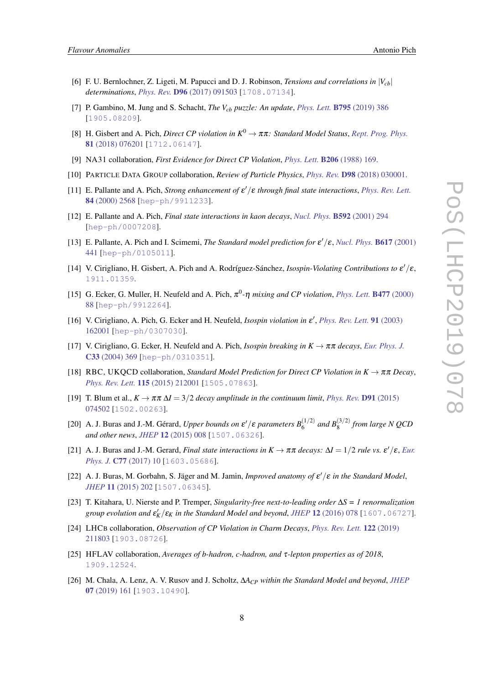- <span id="page-8-0"></span>[6] F. U. Bernlochner, Z. Ligeti, M. Papucci and D. J. Robinson, *Tensions and correlations in*  $|V_{ch}|$ *determinations*, *Phys. Rev.* D96 [\(2017\) 091503](https://doi.org/10.1103/PhysRevD.96.091503) [[1708.07134](https://arxiv.org/abs/1708.07134)].
- [7] P. Gambino, M. Jung and S. Schacht, *The Vcb puzzle: An update*, *Phys. Lett.* B795 [\(2019\) 386](https://doi.org/10.1016/j.physletb.2019.06.039) [[1905.08209](https://arxiv.org/abs/1905.08209)].
- [8] H. Gisbert and A. Pich, *Direct CP violation in*  $K^0 \to \pi \pi$ : *Standard Model Status*, *[Rept. Prog. Phys.](https://doi.org/10.1088/1361-6633/aac18e)* 81 [\(2018\) 076201](https://doi.org/10.1088/1361-6633/aac18e) [[1712.06147](https://arxiv.org/abs/1712.06147)].
- [9] NA31 collaboration, *First Evidence for Direct CP Violation*, *Phys. Lett.* B206 [\(1988\) 169.](https://doi.org/10.1016/0370-2693(88)91282-8)
- [10] PARTICLE DATA GROUP collaboration, *Review of Particle Physics*, *Phys. Rev.* D98 [\(2018\) 030001.](https://doi.org/10.1103/PhysRevD.98.030001)
- [11] E. Pallante and A. Pich, *Strong enhancement of*  $\varepsilon'/\varepsilon$  *through final state interactions*, *[Phys. Rev. Lett.](https://doi.org/10.1103/PhysRevLett.84.2568)* 84 [\(2000\) 2568](https://doi.org/10.1103/PhysRevLett.84.2568) [[hep-ph/9911233](https://arxiv.org/abs/hep-ph/9911233)].
- [12] E. Pallante and A. Pich, *Final state interactions in kaon decays*, *[Nucl. Phys.](https://doi.org/10.1016/S0550-3213(00)00601-5)* B592 (2001) 294 [[hep-ph/0007208](https://arxiv.org/abs/hep-ph/0007208)].
- [13] E. Pallante, A. Pich and I. Scimemi, *The Standard model prediction for*  $\varepsilon'/\varepsilon$ , *[Nucl. Phys.](https://doi.org/10.1016/S0550-3213(01)00418-7)* **B617** (2001) [441](https://doi.org/10.1016/S0550-3213(01)00418-7) [[hep-ph/0105011](https://arxiv.org/abs/hep-ph/0105011)].
- [14] V. Cirigliano, H. Gisbert, A. Pich and A. Rodríguez-Sánchez, *Isospin-Violating Contributions to* ε'/ε, [1911.01359](https://arxiv.org/abs/1911.01359).
- [15] G. Ecker, G. Muller, H. Neufeld and A. Pich,  $\pi^0$ - $\eta$  *mixing and CP violation*, *[Phys. Lett.](https://doi.org/10.1016/S0370-2693(00)00213-6)* **B477** (2000) [88](https://doi.org/10.1016/S0370-2693(00)00213-6) [[hep-ph/9912264](https://arxiv.org/abs/hep-ph/9912264)].
- [16] V. Cirigliano, A. Pich, G. Ecker and H. Neufeld, *Isospin violation in*  $\varepsilon'$ , *[Phys. Rev. Lett.](https://doi.org/10.1103/PhysRevLett.91.162001)* 91 (2003) [162001](https://doi.org/10.1103/PhysRevLett.91.162001) [[hep-ph/0307030](https://arxiv.org/abs/hep-ph/0307030)].
- [17] V. Cirigliano, G. Ecker, H. Neufeld and A. Pich, *Isospin breaking in K* → ππ *decays*, *[Eur. Phys. J.](https://doi.org/10.1140/epjc/s2003-01579-3)* C33 [\(2004\) 369](https://doi.org/10.1140/epjc/s2003-01579-3) [[hep-ph/0310351](https://arxiv.org/abs/hep-ph/0310351)].
- [18] RBC, UKQCD collaboration, *Standard Model Prediction for Direct CP Violation in K*  $\rightarrow \pi \pi$  *Decay*, *[Phys. Rev. Lett.](https://doi.org/10.1103/PhysRevLett.115.212001)* 115 (2015) 212001 [[1505.07863](https://arxiv.org/abs/1505.07863)].
- [19] T. Blum et al.,  $K \to \pi \pi \Delta I = 3/2$  *decay amplitude in the continuum limit, [Phys. Rev.](https://doi.org/10.1103/PhysRevD.91.074502)* **D91** (2015) [074502](https://doi.org/10.1103/PhysRevD.91.074502) [[1502.00263](https://arxiv.org/abs/1502.00263)].
- [20] A. J. Buras and J.-M. Gérard, *Upper bounds on*  $\varepsilon'/\varepsilon$  *parameters*  $B_6^{(1/2)}$  *and*  $B_8^{(3/2)}$  *from large* N QCD *and other news*, *JHEP* 12 [\(2015\) 008](https://doi.org/10.1007/JHEP12(2015)008) [[1507.06326](https://arxiv.org/abs/1507.06326)].
- [21] A. J. Buras and J.-M. Gerard, *Final state interactions in*  $K \to \pi \pi$  *decays:*  $\Delta I = 1/2$  *rule vs.*  $\epsilon'/\epsilon$ , *[Eur.](https://doi.org/10.1140/epjc/s10052-016-4586-7) Phys. J. C77 (2017)* 10 [[1603.05686](https://arxiv.org/abs/1603.05686)].
- [22] A. J. Buras, M. Gorbahn, S. Jäger and M. Jamin, *Improved anatomy of*  $\varepsilon'/\varepsilon$  *in the Standard Model*, *JHEP* 11 [\(2015\) 202](https://doi.org/10.1007/JHEP11(2015)202) [[1507.06345](https://arxiv.org/abs/1507.06345)].
- [23] T. Kitahara, U. Nierste and P. Tremper, *Singularity-free next-to-leading order* ∆*S = 1 renormalization group evolution and*  $\epsilon_K'/\epsilon_K$  *in the Standard Model and beyond, JHEP* 12 [\(2016\) 078](https://doi.org/10.1007/JHEP12(2016)078) [[1607.06727](https://arxiv.org/abs/1607.06727)].
- [24] LHCB collaboration, *Observation of CP Violation in Charm Decays*, *[Phys. Rev. Lett.](https://doi.org/10.1103/PhysRevLett.122.211803)* 122 (2019) [211803](https://doi.org/10.1103/PhysRevLett.122.211803) [[1903.08726](https://arxiv.org/abs/1903.08726)].
- [25] HFLAV collaboration, *Averages of b-hadron, c-hadron, and* τ*-lepton properties as of 2018*, [1909.12524](https://arxiv.org/abs/1909.12524).
- [26] M. Chala, A. Lenz, A. V. Rusov and J. Scholtz, ∆*ACP within the Standard Model and beyond*, *[JHEP](https://doi.org/10.1007/JHEP07(2019)161)* 07 [\(2019\) 161](https://doi.org/10.1007/JHEP07(2019)161) [[1903.10490](https://arxiv.org/abs/1903.10490)].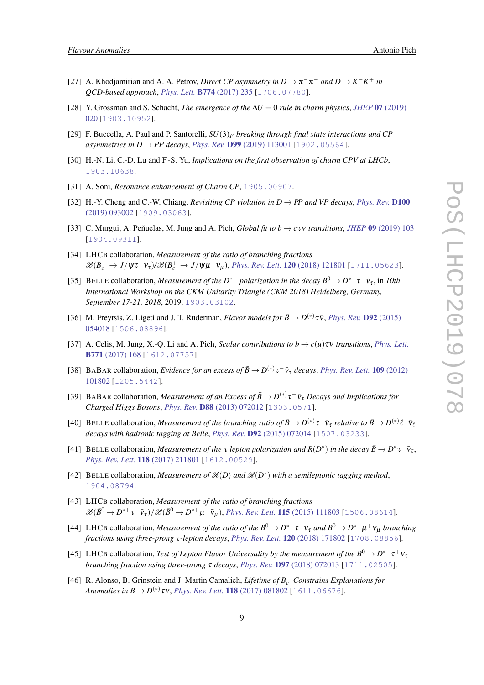- <span id="page-9-0"></span>[27] A. Khodjamirian and A. A. Petrov, *Direct CP asymmetry in*  $D \to \pi^- \pi^+$  *and*  $D \to K^- K^+$  *in QCD-based approach*, *Phys. Lett.* B774 [\(2017\) 235](https://doi.org/10.1016/j.physletb.2017.09.070) [[1706.07780](https://arxiv.org/abs/1706.07780)].
- [28] Y. Grossman and S. Schacht, *The emergence of the* ∆*U* = 0 *rule in charm physics*, *JHEP* 07 [\(2019\)](https://doi.org/10.1007/JHEP07(2019)020) [020](https://doi.org/10.1007/JHEP07(2019)020) [[1903.10952](https://arxiv.org/abs/1903.10952)].
- [29] F. Buccella, A. Paul and P. Santorelli, *SU*(3)*<sup>F</sup> breaking through final state interactions and CP asymmetries in*  $D \to PP$  *decays, Phys. Rev.* **D99** [\(2019\) 113001](https://doi.org/10.1103/PhysRevD.99.113001) [[1902.05564](https://arxiv.org/abs/1902.05564)].
- [30] H.-N. Li, C.-D. Lü and F.-S. Yu, *Implications on the first observation of charm CPV at LHCb*, [1903.10638](https://arxiv.org/abs/1903.10638).
- [31] A. Soni, *Resonance enhancement of Charm CP*, [1905.00907](https://arxiv.org/abs/1905.00907).
- [32] H.-Y. Cheng and C.-W. Chiang, *Revisiting CP violation in D*  $\rightarrow$  *PP and VP decays, [Phys. Rev.](https://doi.org/10.1103/PhysRevD.100.093002)* **D100** [\(2019\) 093002](https://doi.org/10.1103/PhysRevD.100.093002) [[1909.03063](https://arxiv.org/abs/1909.03063)].
- [33] C. Murgui, A. Peñuelas, M. Jung and A. Pich, *Global fit to b*  $\rightarrow$  *c* $\tau$ *v transitions*, *JHEP* 09 [\(2019\) 103](https://doi.org/10.1007/JHEP09(2019)103) [[1904.09311](https://arxiv.org/abs/1904.09311)].
- [34] LHCB collaboration, *Measurement of the ratio of branching fractions*  $\mathscr{B}(B_c^+\to J/\psi\tau^+\nu_\tau)/\mathscr{B}(B_c^+\to J/\psi\mu^+\nu_\mu)$ , *[Phys. Rev. Lett.](https://doi.org/10.1103/PhysRevLett.120.121801)* **120** (2018) 121801 [[1711.05623](https://arxiv.org/abs/1711.05623)].
- [35] BELLE collaboration, *Measurement of the*  $D^{*-}$  *polarization in the decay*  $B^0 \to D^{*-}\tau^+\nu_{\tau}$ , in 10th *International Workshop on the CKM Unitarity Triangle (CKM 2018) Heidelberg, Germany, September 17-21, 2018*, 2019, [1903.03102](https://arxiv.org/abs/1903.03102).
- [36] M. Freytsis, Z. Ligeti and J. T. Ruderman, *Flavor models for*  $\bar{B} \to D^{(*)}\tau\bar{\nu}$ , *[Phys. Rev.](https://doi.org/10.1103/PhysRevD.92.054018)* **D92** (2015) [054018](https://doi.org/10.1103/PhysRevD.92.054018) [[1506.08896](https://arxiv.org/abs/1506.08896)].
- [37] A. Celis, M. Jung, X.-O. Li and A. Pich, *Scalar contributions to b*  $\rightarrow c(u)\tau v$  *transitions. [Phys. Lett.](https://doi.org/10.1016/j.physletb.2017.05.037)* B771 [\(2017\) 168](https://doi.org/10.1016/j.physletb.2017.05.037) [[1612.07757](https://arxiv.org/abs/1612.07757)].
- [38] BABAR collaboration, *Evidence for an excess of*  $\bar{B} \to D^{(*)} \tau^- \bar{\nu}_{\tau}$  *decays, [Phys. Rev. Lett.](https://doi.org/10.1103/PhysRevLett.109.101802)* **109** (2012) [101802](https://doi.org/10.1103/PhysRevLett.109.101802) [[1205.5442](https://arxiv.org/abs/1205.5442)].
- [39] BABAR collaboration, *Measurement of an Excess of*  $\bar{B} \to D^{(*)} \tau^- \bar{\nu}_{\tau}$  *Decays and Implications for Charged Higgs Bosons*, *Phys. Rev.* D88 [\(2013\) 072012](https://doi.org/10.1103/PhysRevD.88.072012) [[1303.0571](https://arxiv.org/abs/1303.0571)].
- [40] BELLE collaboration, *Measurement of the branching ratio of*  $\bar{B}\to D^{(*)}\tau^-\bar{\nu}_\tau$  *relative to*  $\bar{B}\to D^{(*)}\ell^-\bar{\nu}_\ell$ *decays with hadronic tagging at Belle*, *Phys. Rev.* D92 [\(2015\) 072014](https://doi.org/10.1103/PhysRevD.92.072014) [[1507.03233](https://arxiv.org/abs/1507.03233)].
- [41] BELLE collaboration, *Measurement of the*  $\tau$  *lepton polarization and*  $R(D^*)$  *in the decay*  $\bar{B} \to D^* \tau^- \bar{v}_\tau$ , *[Phys. Rev. Lett.](https://doi.org/10.1103/PhysRevLett.118.211801)* 118 (2017) 211801 [[1612.00529](https://arxiv.org/abs/1612.00529)].
- [42] BELLE collaboration, *Measurement of*  $\mathcal{R}(D)$  and  $\mathcal{R}(D^*)$  with a semileptonic tagging method, [1904.08794](https://arxiv.org/abs/1904.08794).
- [43] LHCB collaboration, *Measurement of the ratio of branching fractions*  $\mathscr{B}(\bar{B}^0\to D^{*+}\tau^-\bar{\nu}_\tau)/\mathscr{B}(\bar{B}^0\to D^{*+}\mu^-\bar{\nu}_\mu)$ , *[Phys. Rev. Lett.](https://doi.org/10.1103/PhysRevLett.115.159901, 10.1103/PhysRevLett.115.111803)* **115** (2015) 111803 [[1506.08614](https://arxiv.org/abs/1506.08614)].
- [44] LHCB collaboration, *Measurement of the ratio of the*  $B^0 \to D^{*-} \tau^+ \nu_{\tau}$  and  $B^0 \to D^{*-} \mu^+ \nu_{\mu}$  *branching fractions using three-prong* τ*-lepton decays*, *[Phys. Rev. Lett.](https://doi.org/10.1103/PhysRevLett.120.171802)* 120 (2018) 171802 [[1708.08856](https://arxiv.org/abs/1708.08856)].
- [45] LHCB collaboration, *Test of Lepton Flavor Universality by the measurement of the*  $B^0 \to D^{*-} \tau^+ \nu_{\tau}$ *branching fraction using three-prong* τ *decays*, *Phys. Rev.* D97 [\(2018\) 072013](https://doi.org/10.1103/PhysRevD.97.072013) [[1711.02505](https://arxiv.org/abs/1711.02505)].
- [46] R. Alonso, B. Grinstein and J. Martin Camalich, *Lifetime of B*<sup>−</sup> *<sup>c</sup> Constrains Explanations for Anomalies in*  $B \to D^{(*)}\tau v$ *, [Phys. Rev. Lett.](https://doi.org/10.1103/PhysRevLett.118.081802)* **118** (2017) 081802 [[1611.06676](https://arxiv.org/abs/1611.06676)].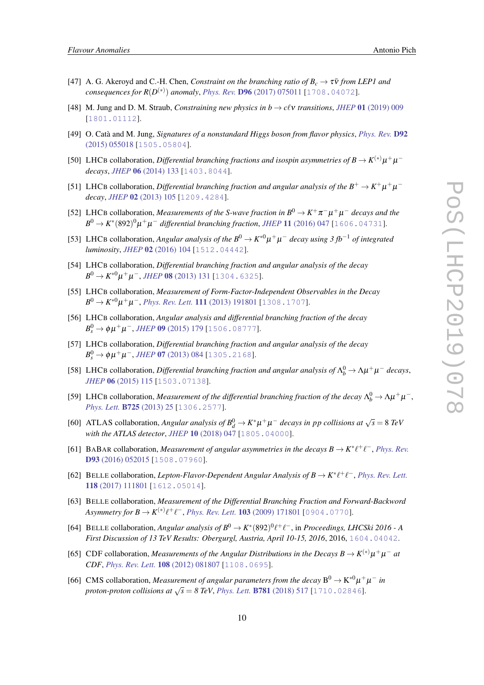- <span id="page-10-0"></span>[47] A. G. Akeroyd and C.-H. Chen, *Constraint on the branching ratio of*  $B_c \rightarrow \tau \bar{v}$  *from LEP1 and consequences for R*(*D* (∗) ) *anomaly*, *Phys. Rev.* D96 [\(2017\) 075011](https://doi.org/10.1103/PhysRevD.96.075011) [[1708.04072](https://arxiv.org/abs/1708.04072)].
- [48] M. Jung and D. M. Straub, *Constraining new physics in b*  $\rightarrow$  *c* $\ell$ *v transitions*, *JHEP* 01 [\(2019\) 009](https://doi.org/10.1007/JHEP01(2019)009) [[1801.01112](https://arxiv.org/abs/1801.01112)].
- [49] O. Catà and M. Jung, *Signatures of a nonstandard Higgs boson from flavor physics*, *[Phys. Rev.](https://doi.org/10.1103/PhysRevD.92.055018)* D92 [\(2015\) 055018](https://doi.org/10.1103/PhysRevD.92.055018) [[1505.05804](https://arxiv.org/abs/1505.05804)].
- [50] LHCB collaboration, *Differential branching fractions and isospin asymmetries of*  $B \to K^{(*)} \mu^+ \mu^$ *decays*, *JHEP* 06 [\(2014\) 133](https://doi.org/10.1007/JHEP06(2014)133) [[1403.8044](https://arxiv.org/abs/1403.8044)].
- [51] LHCB collaboration, *Differential branching fraction and angular analysis of the*  $B^+ \to K^+ \mu^+ \mu^$ *decay*, *JHEP* 02 [\(2013\) 105](https://doi.org/10.1007/JHEP02(2013)105) [[1209.4284](https://arxiv.org/abs/1209.4284)].
- [52] LHCB collaboration, *Measurements of the S-wave fraction in*  $B^0 \to K^+\pi^-\mu^+\mu^-$  *decays and the*  $B^0 \to K^*(892)^0 \mu^+ \mu^-$  differential branching fraction, JHEP 11 [\(2016\) 047](https://doi.org/10.1007/JHEP11(2016)047, 10.1007/JHEP04(2017)142) [[1606.04731](https://arxiv.org/abs/1606.04731)].
- [53] LHCB collaboration, *Angular analysis of the*  $B^0 \to K^{*0} \mu^+ \mu^-$  *decay using 3* fb<sup>-1</sup> *of integrated luminosity*, *JHEP* 02 [\(2016\) 104](https://doi.org/10.1007/JHEP02(2016)104) [[1512.04442](https://arxiv.org/abs/1512.04442)].
- [54] LHCB collaboration, *Differential branching fraction and angular analysis of the decay*  $B^0 \to K^{*0} \mu^+ \mu^-,$  *JHEP* **08** [\(2013\) 131](https://doi.org/10.1007/JHEP08(2013)131) [[1304.6325](https://arxiv.org/abs/1304.6325)].
- [55] LHCB collaboration, *Measurement of Form-Factor-Independent Observables in the Decay*  $B^0 \to K^{*0} \mu^+ \mu^-,$  *[Phys. Rev. Lett.](https://doi.org/10.1103/PhysRevLett.111.191801)* **111** (2013) 191801 [[1308.1707](https://arxiv.org/abs/1308.1707)].
- [56] LHCB collaboration, *Angular analysis and differential branching fraction of the decay*  $B_s^0$  → φμ<sup>+</sup>μ<sup>-</sup>, *JHEP* 09 [\(2015\) 179](https://doi.org/10.1007/JHEP09(2015)179) [[1506.08777](https://arxiv.org/abs/1506.08777)].
- [57] LHCB collaboration, *Differential branching fraction and angular analysis of the decay*  $B_s^0$  → φμ<sup>+</sup>μ<sup>-</sup>, *JHEP* **07** [\(2013\) 084](https://doi.org/10.1007/JHEP07(2013)084) [[1305.2168](https://arxiv.org/abs/1305.2168)].
- [58] LHCB collaboration, *Differential branching fraction and angular analysis of*  $\Lambda_b^0 \to \Lambda \mu^+ \mu^-$  *decays*, *JHEP* 06 [\(2015\) 115](https://doi.org/10.1007/JHEP09(2018)145, 10.1007/JHEP06(2015)115) [[1503.07138](https://arxiv.org/abs/1503.07138)].
- [59] LHCB collaboration, *Measurement of the differential branching fraction of the decay*  $\Lambda_b^0 \to \Lambda \mu^+ \mu^-$ , *[Phys. Lett.](https://doi.org/10.1016/j.physletb.2013.06.060)* B725 (2013) 25 [[1306.2577](https://arxiv.org/abs/1306.2577)].
- [60] ATLAS collaboration, *Angular analysis of*  $B_d^0 \to K^* \mu^+ \mu^-$  *decays in pp collisions at*  $\sqrt{s} = 8$  *TeV with the ATLAS detector*, *JHEP* 10 [\(2018\) 047](https://doi.org/10.1007/JHEP10(2018)047) [[1805.04000](https://arxiv.org/abs/1805.04000)].
- [61] BABAR collaboration, *Measurement of angular asymmetries in the decays*  $B \to K^* \ell^+ \ell^-$ *, <i>[Phys. Rev.](https://doi.org/10.1103/PhysRevD.93.052015)* D93 [\(2016\) 052015](https://doi.org/10.1103/PhysRevD.93.052015) [[1508.07960](https://arxiv.org/abs/1508.07960)].
- [62] BELLE collaboration, *Lepton-Flavor-Dependent Angular Analysis of*  $B \to K^* \ell^+ \ell^-$ *, <i>[Phys. Rev. Lett.](https://doi.org/10.1103/PhysRevLett.118.111801)* 118 [\(2017\) 111801](https://doi.org/10.1103/PhysRevLett.118.111801) [[1612.05014](https://arxiv.org/abs/1612.05014)].
- [63] BELLE collaboration, *Measurement of the Differential Branching Fraction and Forward-Backword Asymmetry for*  $B \to K^{(*)}\ell^+\ell^-,$  *[Phys. Rev. Lett.](https://doi.org/10.1103/PhysRevLett.103.171801)* **103** (2009) 171801 [[0904.0770](https://arxiv.org/abs/0904.0770)].
- [64] BELLE collaboration, *Angular analysis of*  $B^0 \to K^*(892)^0 \ell^+ \ell^-$ , in *Proceedings, LHCSki 2016 A First Discussion of 13 TeV Results: Obergurgl, Austria, April 10-15, 2016, 2016, [1604.04042](https://arxiv.org/abs/1604.04042).*
- [65] CDF collaboration, *Measurements of the Angular Distributions in the Decays B*  $\rightarrow$  K<sup>(\*)</sup> $\mu^+\mu^-$  at *CDF*, *[Phys. Rev. Lett.](https://doi.org/10.1103/PhysRevLett.108.081807)* 108 (2012) 081807 [[1108.0695](https://arxiv.org/abs/1108.0695)].
- [66] CMS collaboration, *Measurement of angular parameters from the decay*  $B^0 \to K^{*0} \mu^+ \mu^-$  in *proton-proton collisions at*  $\sqrt{s} = \delta$  *TeV*, *Phys. Lett.* **B781** [\(2018\) 517](https://doi.org/10.1016/j.physletb.2018.04.030) [[1710.02846](https://arxiv.org/abs/1710.02846)].